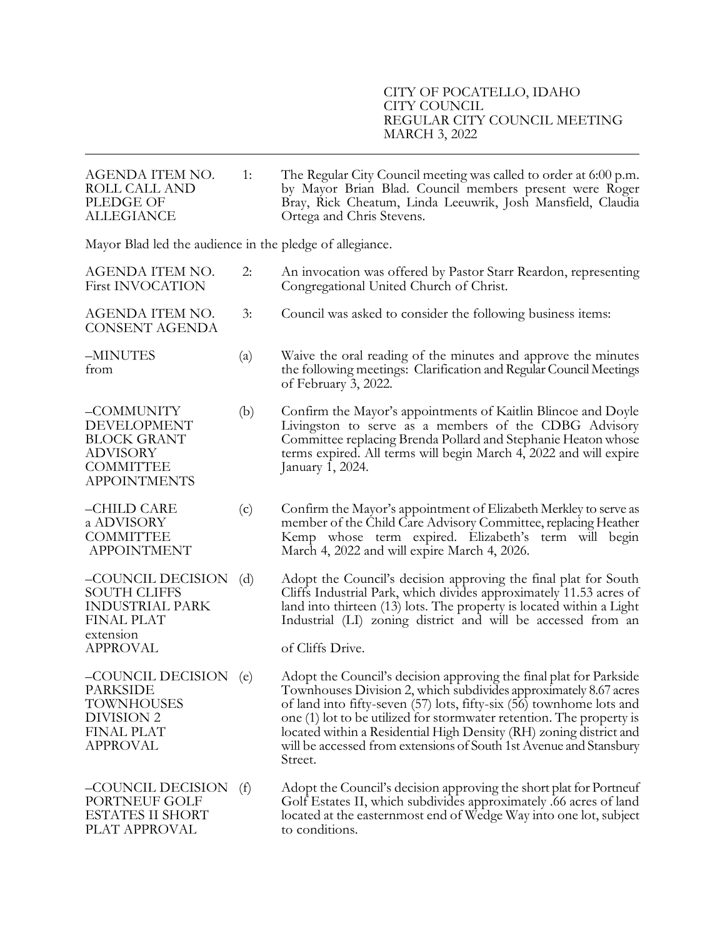| AGENDA ITEM NO.<br>ROLL CALL AND<br>PLEDGE OF<br><b>ALLEGIANCE</b>                                                      | 1:  | The Regular City Council meeting was called to order at 6:00 p.m.<br>by Mayor Brian Blad. Council members present were Roger<br>Bray, Rick Cheatum, Linda Leeuwrik, Josh Mansfield, Claudia<br>Ortega and Chris Stevens.                                                                                                                                                                                                                      |
|-------------------------------------------------------------------------------------------------------------------------|-----|-----------------------------------------------------------------------------------------------------------------------------------------------------------------------------------------------------------------------------------------------------------------------------------------------------------------------------------------------------------------------------------------------------------------------------------------------|
| Mayor Blad led the audience in the pledge of allegiance.                                                                |     |                                                                                                                                                                                                                                                                                                                                                                                                                                               |
| AGENDA ITEM NO.<br><b>First INVOCATION</b>                                                                              | 2:  | An invocation was offered by Pastor Starr Reardon, representing<br>Congregational United Church of Christ.                                                                                                                                                                                                                                                                                                                                    |
| AGENDA ITEM NO.<br><b>CONSENT AGENDA</b>                                                                                | 3:  | Council was asked to consider the following business items:                                                                                                                                                                                                                                                                                                                                                                                   |
| -MINUTES<br>from                                                                                                        | (a) | Waive the oral reading of the minutes and approve the minutes<br>the following meetings: Clarification and Regular Council Meetings<br>of February 3, 2022.                                                                                                                                                                                                                                                                                   |
| -COMMUNITY<br><b>DEVELOPMENT</b><br><b>BLOCK GRANT</b><br><b>ADVISORY</b><br><b>COMMITTEE</b><br><b>APPOINTMENTS</b>    | (b) | Confirm the Mayor's appointments of Kaitlin Blincoe and Doyle<br>Livingston to serve as a members of the CDBG Advisory<br>Committee replacing Brenda Pollard and Stephanie Heaton whose<br>terms expired. All terms will begin March 4, 2022 and will expire<br>January 1, 2024.                                                                                                                                                              |
| -CHILD CARE<br>a ADVISORY<br><b>COMMITTEE</b><br><b>APPOINTMENT</b>                                                     | (c) | Confirm the Mayor's appointment of Elizabeth Merkley to serve as<br>member of the Child Care Advisory Committee, replacing Heather<br>Kemp whose term expired. Elizabeth's term will begin<br>March 4, 2022 and will expire March 4, 2026.                                                                                                                                                                                                    |
| -COUNCIL DECISION<br><b>SOUTH CLIFFS</b><br><b>INDUSTRIAL PARK</b><br><b>FINAL PLAT</b><br>extension<br><b>APPROVAL</b> | (d) | Adopt the Council's decision approving the final plat for South<br>Cliffs Industrial Park, which divides approximately 11.53 acres of<br>land into thirteen (13) lots. The property is located within a Light<br>Industrial (LI) zoning district and will be accessed from an<br>of Cliffs Drive.                                                                                                                                             |
| –COUNCIL DECISION<br><b>PARKSIDE</b><br>TOWNHOUSES<br>DIVISION 2<br><b>FINAL PLAT</b><br><b>APPROVAL</b>                | (e) | Adopt the Council's decision approving the final plat for Parkside<br>Townhouses Division 2, which subdivides approximately 8.67 acres<br>of land into fifty-seven (57) lots, fifty-six (56) townhome lots and<br>one (1) lot to be utilized for stormwater retention. The property is<br>located within a Residential High Density (RH) zoning district and<br>will be accessed from extensions of South 1st Avenue and Stansbury<br>Street. |
| –COUNCIL DECISION<br>PORTNEUF GOLF<br><b>ESTATES II SHORT</b><br>PLAT APPROVAL                                          | (f) | Adopt the Council's decision approving the short plat for Portneuf<br>Golf Estates II, which subdivides approximately .66 acres of land<br>located at the easternmost end of Wedge Way into one lot, subject<br>to conditions.                                                                                                                                                                                                                |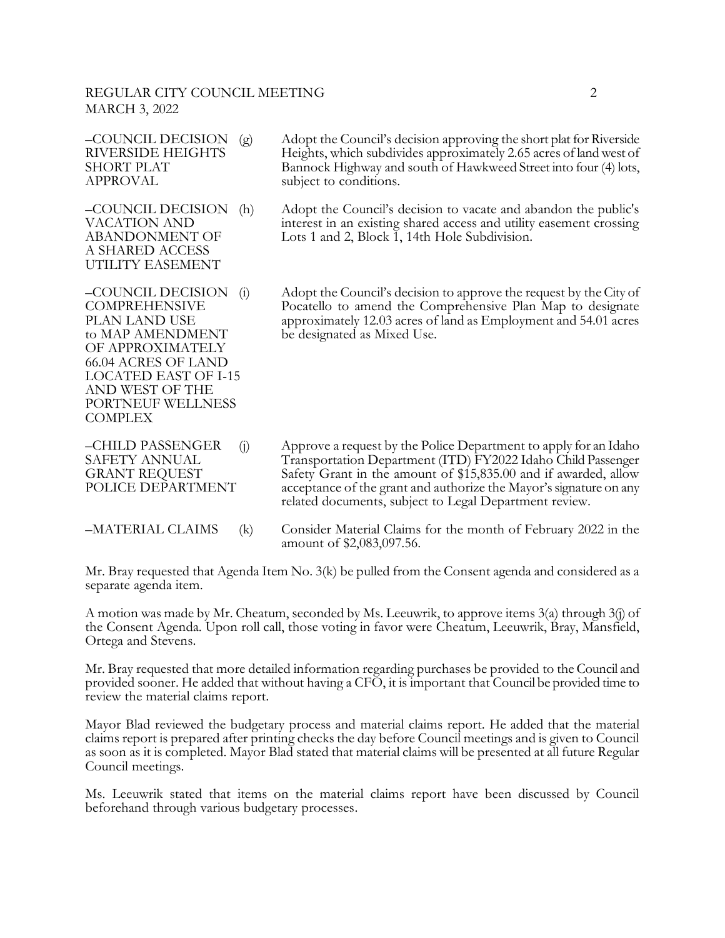## REGULAR CITY COUNCIL MEETING 2 MARCH 3, 2022

| -COUNCIL DECISION<br>(g)<br><b>RIVERSIDE HEIGHTS</b><br><b>SHORT PLAT</b><br><b>APPROVAL</b>                                                                                                                                             | Adopt the Council's decision approving the short plat for Riverside<br>Heights, which subdivides approximately 2.65 acres of land west of<br>Bannock Highway and south of Hawkweed Street into four (4) lots,<br>subject to conditions. |
|------------------------------------------------------------------------------------------------------------------------------------------------------------------------------------------------------------------------------------------|-----------------------------------------------------------------------------------------------------------------------------------------------------------------------------------------------------------------------------------------|
| -COUNCIL DECISION<br>(h)<br><b>VACATION AND</b><br><b>ABANDONMENT OF</b><br>A SHARED ACCESS<br>UTILITY EASEMENT                                                                                                                          | Adopt the Council's decision to vacate and abandon the public's<br>interest in an existing shared access and utility easement crossing<br>Lots 1 and 2, Block 1, 14th Hole Subdivision.                                                 |
| -COUNCIL DECISION<br>$\left( 1 \right)$<br><b>COMPREHENSIVE</b><br>PLAN LAND USE<br>to MAP AMENDMENT<br>OF APPROXIMATELY<br><b>66.04 ACRES OF LAND</b><br>LOCATED EAST OF I-15<br>AND WEST OF THE<br>PORTNEUF WELLNESS<br><b>COMPLEX</b> | Adopt the Council's decision to approve the request by the City of<br>Pocatello to amend the Comprehensive Plan Map to designate<br>approximately 12.03 acres of land as Employment and 54.01 acres<br>be designated as Mixed Use.      |
| -CHILD PASSENGER<br>(j)<br><b>SAFETY ANNUAL</b>                                                                                                                                                                                          | Approve a request by the Police Department to apply for an Idaho<br>Transportation Department (ITD) FY2022 Idaho Child Passenger                                                                                                        |

GRANT REQUEST Safety Grant in the amount of \$15,835.00 and if awarded, allow POLICE DEPARTMENT acceptance of the grant and authorize the Mayor's signature on any

 related documents, subject to Legal Department review. –MATERIAL CLAIMS (k) Consider Material Claims for the month of February 2022 in the amount of \$2,083,097.56.

Mr. Bray requested that Agenda Item No. 3(k) be pulled from the Consent agenda and considered as a separate agenda item.

A motion was made by Mr. Cheatum, seconded by Ms. Leeuwrik, to approve items 3(a) through 3(j) of the Consent Agenda. Upon roll call, those voting in favor were Cheatum, Leeuwrik, Bray, Mansfield, Ortega and Stevens.

Mr. Bray requested that more detailed information regarding purchases be provided to the Council and provided sooner. He added that without having a CFO, it is important that Council be provided time to review the material claims report.

Mayor Blad reviewed the budgetary process and material claims report. He added that the material claims report is prepared after printing checks the day before Council meetings and is given to Council as soon as it is completed. Mayor Blad stated that material claims will be presented at all future Regular Council meetings.

Ms. Leeuwrik stated that items on the material claims report have been discussed by Council beforehand through various budgetary processes.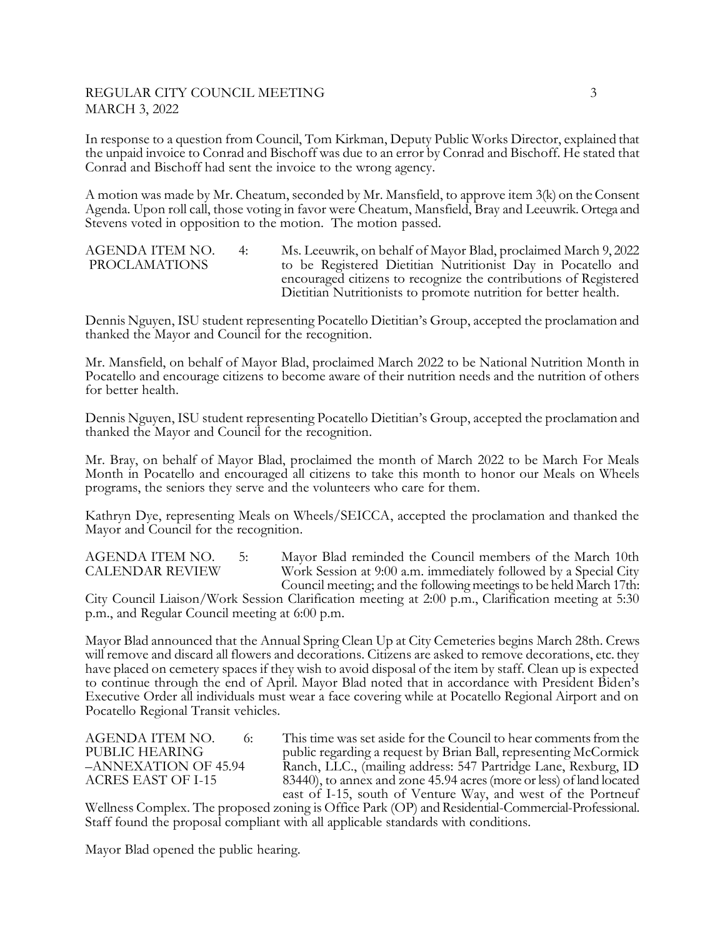## REGULAR CITY COUNCIL MEETING 3 MARCH 3, 2022

In response to a question from Council, Tom Kirkman, Deputy Public Works Director, explained that the unpaid invoice to Conrad and Bischoff was due to an error by Conrad and Bischoff. He stated that Conrad and Bischoff had sent the invoice to the wrong agency.

A motion was made by Mr. Cheatum, seconded by Mr. Mansfield, to approve item 3(k) on the Consent Agenda. Upon roll call, those voting in favor were Cheatum, Mansfield, Bray and Leeuwrik. Ortega and Stevens voted in opposition to the motion. The motion passed.

AGENDA ITEM NO. 4: Ms. Leeuwrik, on behalf of Mayor Blad, proclaimed March 9, 2022 PROCLAMATIONS to be Registered Dietitian Nutritionist Day in Pocatello and encouraged citizens to recognize the contributions of Registered Dietitian Nutritionists to promote nutrition for better health.

Dennis Nguyen, ISU student representing Pocatello Dietitian's Group, accepted the proclamation and thanked the Mayor and Council for the recognition.

Mr. Mansfield, on behalf of Mayor Blad, proclaimed March 2022 to be National Nutrition Month in Pocatello and encourage citizens to become aware of their nutrition needs and the nutrition of others for better health.

Dennis Nguyen, ISU student representing Pocatello Dietitian's Group, accepted the proclamation and thanked the Mayor and Council for the recognition.

Mr. Bray, on behalf of Mayor Blad, proclaimed the month of March 2022 to be March For Meals Month in Pocatello and encouraged all citizens to take this month to honor our Meals on Wheels programs, the seniors they serve and the volunteers who care for them.

Kathryn Dye, representing Meals on Wheels/SEICCA, accepted the proclamation and thanked the Mayor and Council for the recognition.

AGENDA ITEM NO. 5: Mayor Blad reminded the Council members of the March 10th CALENDAR REVIEW Work Session at 9:00 a.m. immediately followed by a Special City Council meeting; and the following meetings to be held March 17th:

City Council Liaison/Work Session Clarification meeting at 2:00 p.m., Clarification meeting at 5:30 p.m., and Regular Council meeting at 6:00 p.m. Î

Mayor Blad announced that the Annual Spring Clean Up at City Cemeteries begins March 28th. Crews will remove and discard all flowers and decorations. Citizens are asked to remove decorations, etc. they have placed on cemetery spaces if they wish to avoid disposal of the item by staff. Clean up is expected to continue through the end of April. Mayor Blad noted that in accordance with President Biden's Executive Order all individuals must wear a face covering while at Pocatello Regional Airport and on Pocatello Regional Transit vehicles.

AGENDA ITEM NO. 6: This time was set aside for the Council to hear comments from the PUBLIC HEARING public regarding a request by Brian Ball, representing McCormick –ANNEXATION OF 45.94 Ranch, LLC., (mailing address: 547 Partridge Lane, Rexburg, ID 83440), to annex and zone 45.94 acres (more or less) of land located east of I-15, south of Venture Way, and west of the Portneuf

Wellness Complex. The proposed zoning is Office Park (OP) and Residential-Commercial-Professional. Staff found the proposal compliant with all applicable standards with conditions.

Mayor Blad opened the public hearing.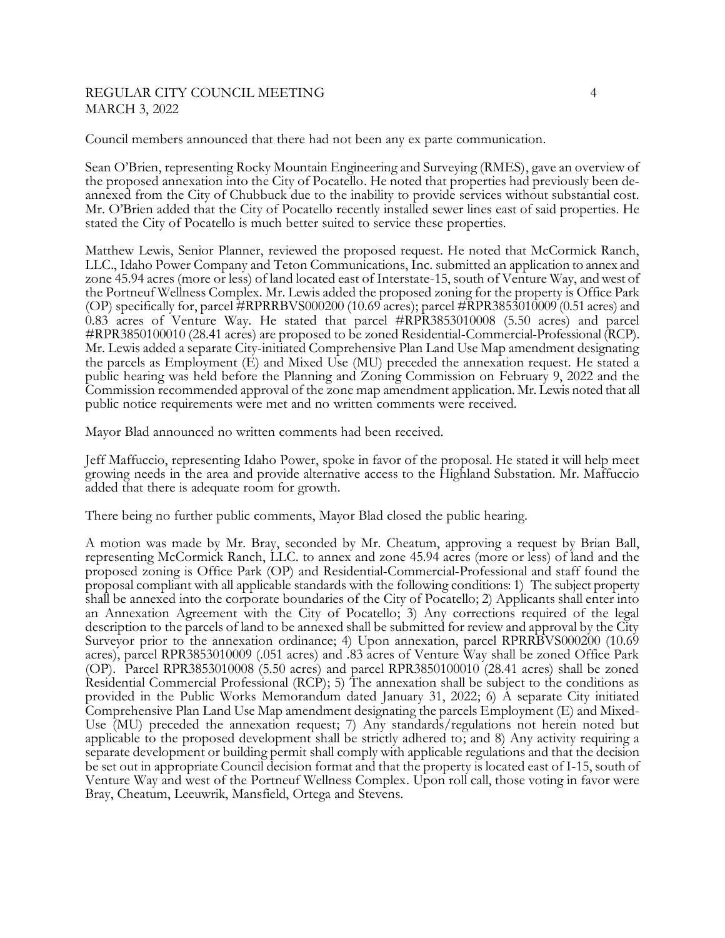### REGULAR CITY COUNCIL MEETING 4 MARCH 3, 2022

Council members announced that there had not been any ex parte communication.

Sean O'Brien, representing Rocky Mountain Engineering and Surveying (RMES), gave an overview of the proposed annexation into the City of Pocatello. He noted that properties had previously been deannexed from the City of Chubbuck due to the inability to provide services without substantial cost. Mr. O'Brien added that the City of Pocatello recently installed sewer lines east of said properties. He stated the City of Pocatello is much better suited to service these properties.

Matthew Lewis, Senior Planner, reviewed the proposed request. He noted that McCormick Ranch, LLC., Idaho Power Company and Teton Communications, Inc. submitted an application to annex and zone 45.94 acres (more or less) of land located east of Interstate-15, south of Venture Way, and west of the Portneuf Wellness Complex. Mr. Lewis added the proposed zoning for the property is Office Park (OP) specifically for, parcel #RPRRBVS000200 (10.69 acres); parcel #RPR3853010009 (0.51 acres) and 0.83 acres of Venture Way. He stated that parcel #RPR3853010008 (5.50 acres) and parcel #RPR3850100010 (28.41 acres) are proposed to be zoned Residential-Commercial-Professional (RCP). Mr. Lewis added a separate City-initiated Comprehensive Plan Land Use Map amendment designating the parcels as Employment (E) and Mixed Use (MU) preceded the annexation request. He stated a public hearing was held before the Planning and Zoning Commission on February 9, 2022 and the Commission recommended approval of the zone map amendment application. Mr. Lewis noted that all public notice requirements were met and no written comments were received.

Mayor Blad announced no written comments had been received.

Jeff Maffuccio, representing Idaho Power, spoke in favor of the proposal. He stated it will help meet growing needs in the area and provide alternative access to the Highland Substation. Mr. Maffuccio added that there is adequate room for growth.

There being no further public comments, Mayor Blad closed the public hearing.

A motion was made by Mr. Bray, seconded by Mr. Cheatum, approving a request by Brian Ball, representing McCormick Ranch, LLC. to annex and zone 45.94 acres (more or less) of land and the proposed zoning is Office Park (OP) and Residential-Commercial-Professional and staff found the proposal compliant with all applicable standards with the following conditions: 1) The subject property shall be annexed into the corporate boundaries of the City of Pocatello; 2) Applicants shall enter into an Annexation Agreement with the City of Pocatello; 3) Any corrections required of the legal description to the parcels of land to be annexed shall be submitted for review and approval by the City Surveyor prior to the annexation ordinance; 4) Upon annexation, parcel RPRRBVS000200 (10.69 acres), parcel RPR3853010009 (.051 acres) and .83 acres of Venture Way shall be zoned Office Park (OP). Parcel RPR3853010008 (5.50 acres) and parcel RPR3850100010 (28.41 acres) shall be zoned Residential Commercial Professional (RCP); 5) The annexation shall be subject to the conditions as provided in the Public Works Memorandum dated January 31, 2022; 6) A separate City initiated Comprehensive Plan Land Use Map amendment designating the parcels Employment (E) and Mixed-Use (MU) preceded the annexation request; 7) Any standards/regulations not herein noted but applicable to the proposed development shall be strictly adhered to; and 8) Any activity requiring a separate development or building permit shall comply with applicable regulations and that the decision be set out in appropriate Council decision format and that the property is located east of I-15, south of Venture Way and west of the Portneuf Wellness Complex. Upon roll call, those voting in favor were Bray, Cheatum, Leeuwrik, Mansfield, Ortega and Stevens.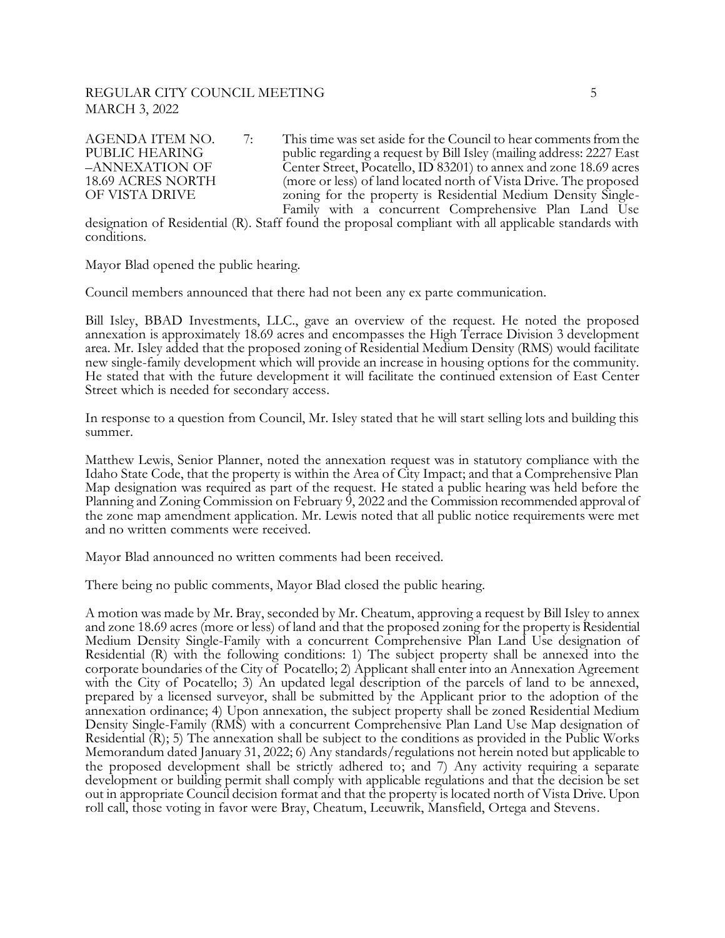## REGULAR CITY COUNCIL MEETING 5 MARCH 3, 2022

AGENDA ITEM NO.  $\qquad$  7: This time was set aside for the Council to hear comments from the PUBLIC HEARING public regarding a request by Bill Isley (mailing address: 2227 East –ANNEXATION OF Center Street, Pocatello, ID 83201) to annex and zone 18.69 acres 18.69 ACRES NORTH (more or less) of land located north of Vista Drive. The proposed<br>OF VISTA DRIVE 2001ing for the property is Residential Medium Density Singlezoning for the property is Residential Medium Density Single-Family with a concurrent Comprehensive Plan Land Use

designation of Residential (R). Staff found the proposal compliant with all applicable standards with conditions.

Mayor Blad opened the public hearing.

Council members announced that there had not been any ex parte communication.

Bill Isley, BBAD Investments, LLC., gave an overview of the request. He noted the proposed annexation is approximately 18.69 acres and encompasses the High Terrace Division 3 development area. Mr. Isley added that the proposed zoning of Residential Medium Density (RMS) would facilitate new single-family development which will provide an increase in housing options for the community. He stated that with the future development it will facilitate the continued extension of East Center Street which is needed for secondary access.

In response to a question from Council, Mr. Isley stated that he will start selling lots and building this summer.

Matthew Lewis, Senior Planner, noted the annexation request was in statutory compliance with the Idaho State Code, that the property is within the Area of City Impact; and that a Comprehensive Plan Map designation was required as part of the request. He stated a public hearing was held before the Planning and Zoning Commission on February 9, 2022 and the Commission recommended approval of the zone map amendment application. Mr. Lewis noted that all public notice requirements were met and no written comments were received.

Mayor Blad announced no written comments had been received.

There being no public comments, Mayor Blad closed the public hearing.

A motion was made by Mr. Bray, seconded by Mr. Cheatum, approving a request by Bill Isley to annex and zone 18.69 acres (more or less) of land and that the proposed zoning for the property is Residential Medium Density Single-Family with a concurrent Comprehensive Plan Land Use designation of Residential (R) with the following conditions: 1) The subject property shall be annexed into the corporate boundaries of the City of Pocatello; 2) Applicant shall enter into an Annexation Agreement with the City of Pocatello; 3) An updated legal description of the parcels of land to be annexed, prepared by a licensed surveyor, shall be submitted by the Applicant prior to the adoption of the annexation ordinance; 4) Upon annexation, the subject property shall be zoned Residential Medium Density Single-Family (RMS) with a concurrent Comprehensive Plan Land Use Map designation of Residential (R); 5) The annexation shall be subject to the conditions as provided in the Public Works Memorandum dated January 31, 2022; 6) Any standards/regulations not herein noted but applicable to the proposed development shall be strictly adhered to; and 7) Any activity requiring a separate development or building permit shall comply with applicable regulations and that the decision be set out in appropriate Council decision format and that the property is located north of Vista Drive. Upon roll call, those voting in favor were Bray, Cheatum, Leeuwrik, Mansfield, Ortega and Stevens.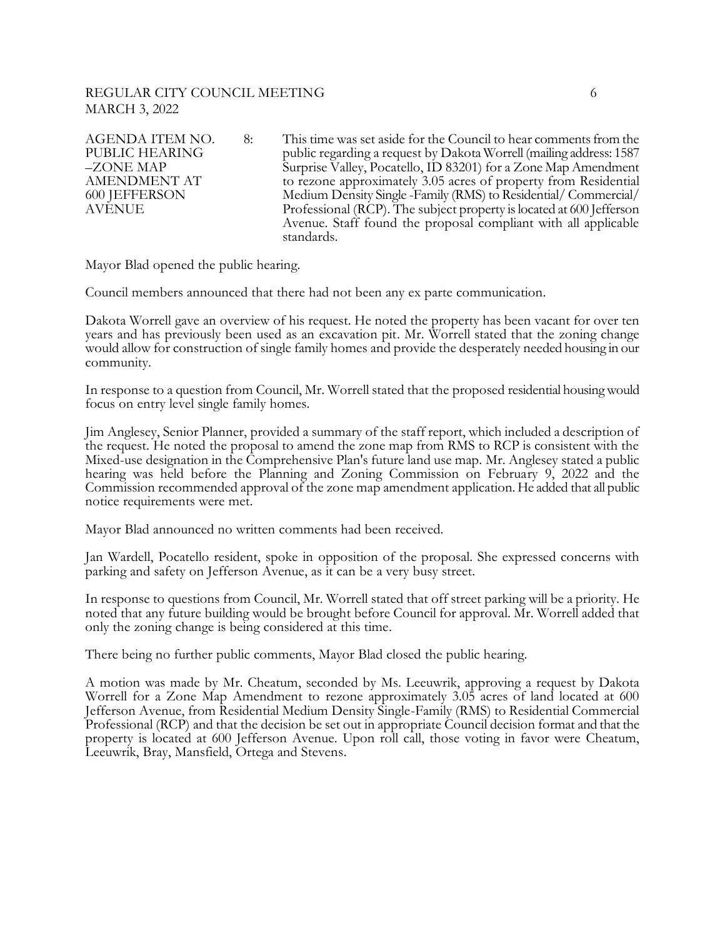## REGULAR CITY COUNCIL MEETING 6 MARCH 3, 2022

AGENDA ITEM NO. 8: This time was set aside for the Council to hear comments from the PUBLIC HEARING public regarding a request by Dakota Worrell (mailing address: 1587<br>
-ZONE MAP Surprise Valley, Pocatello, ID 83201) for a Zone Map Amendment Surprise Valley, Pocatello, ID 83201) for a Zone Map Amendment AMENDMENT AT to rezone approximately 3.05 acres of property from Residential<br>600 JEFFERSON Medium Density Single -Family (RMS) to Residential/ Commercial/ 600 JEFFERSON Medium Density Single -Family (RMS) to Residential/ Commercial/ Professional (RCP). The subject property is located at 600 Jefferson Avenue. Staff found the proposal compliant with all applicable standards.

Mayor Blad opened the public hearing.

Council members announced that there had not been any ex parte communication.

Dakota Worrell gave an overview of his request. He noted the property has been vacant for over ten years and has previously been used as an excavation pit. Mr. Worrell stated that the zoning change would allow for construction of single family homes and provide the desperately needed housing in our community.

In response to a question from Council, Mr. Worrell stated that the proposed residential housing would focus on entry level single family homes.

Jim Anglesey, Senior Planner, provided a summary of the staff report, which included a description of the request. He noted the proposal to amend the zone map from RMS to RCP is consistent with the Mixed-use designation in the Comprehensive Plan's future land use map. Mr. Anglesey stated a public hearing was held before the Planning and Zoning Commission on February 9, 2022 and the Commission recommended approval of the zone map amendment application. He added that all public notice requirements were met.

Mayor Blad announced no written comments had been received.

Jan Wardell, Pocatello resident, spoke in opposition of the proposal. She expressed concerns with parking and safety on Jefferson Avenue, as it can be a very busy street.

In response to questions from Council, Mr. Worrell stated that off street parking will be a priority. He noted that any future building would be brought before Council for approval. Mr. Worrell added that only the zoning change is being considered at this time.

There being no further public comments, Mayor Blad closed the public hearing.

A motion was made by Mr. Cheatum, seconded by Ms. Leeuwrik, approving a request by Dakota Worrell for a Zone Map Amendment to rezone approximately 3.05 acres of land located at 600 Jefferson Avenue, from Residential Medium Density Single-Family (RMS) to Residential Commercial Professional (RCP) and that the decision be set out in appropriate Council decision format and that the property is located at 600 Jefferson Avenue. Upon roll call, those voting in favor were Cheatum, Leeuwrik, Bray, Mansfield, Ortega and Stevens.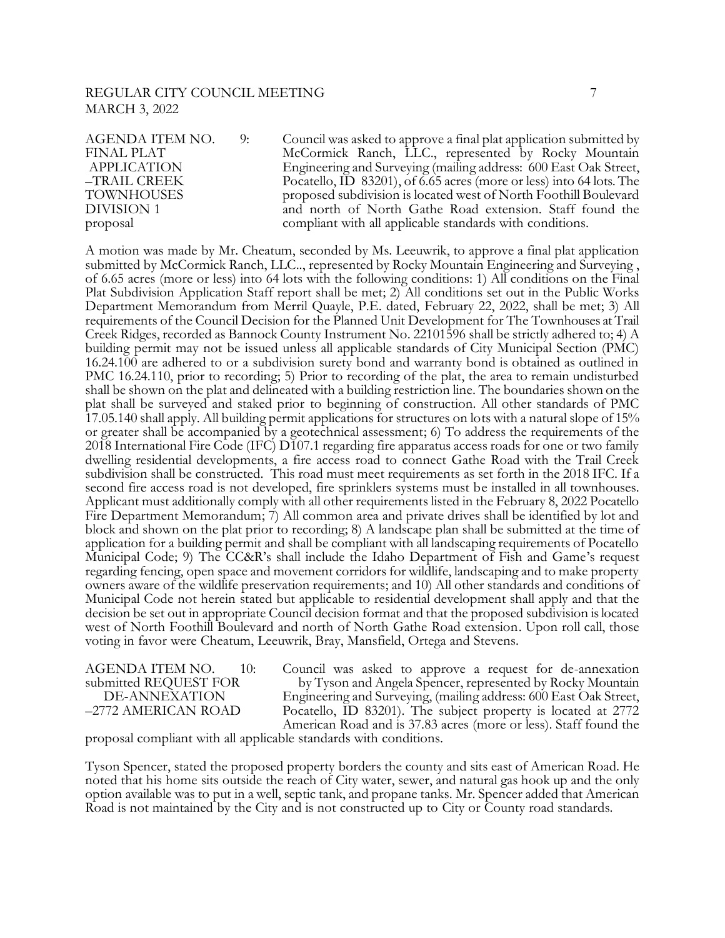## REGULAR CITY COUNCIL MEETING **7** 7 MARCH 3, 2022

AGENDA ITEM NO. 9: Council was asked to approve a final plat application submitted by FINAL PLAT McCormick Ranch, LLC., represented by Rocky Mountain<br>APPLICATION Engineering and Surveying (mailing address: 600 East Oak Street, Engineering and Surveying (mailing address: 600 East Oak Street, –TRAIL CREEK Pocatello, ID 83201), of 6.65 acres (more or less) into 64 lots. The TOWNHOUSES proposed subdivision is located west of North Foothill Boulevard and north of North Gathe Road extension. Staff found the proposal compliant with all applicable standards with conditions.

A motion was made by Mr. Cheatum, seconded by Ms. Leeuwrik, to approve a final plat application submitted by McCormick Ranch, LLC.., represented by Rocky Mountain Engineering and Surveying , of 6.65 acres (more or less) into 64 lots with the following conditions: 1) All conditions on the Final Plat Subdivision Application Staff report shall be met; 2) All conditions set out in the Public Works Department Memorandum from Merril Quayle, P.E. dated, February 22, 2022, shall be met; 3) All requirements of the Council Decision for the Planned Unit Development for The Townhouses at Trail Creek Ridges, recorded as Bannock County Instrument No. 22101596 shall be strictly adhered to; 4) A building permit may not be issued unless all applicable standards of City Municipal Section (PMC) 16.24.100 are adhered to or a subdivision surety bond and warranty bond is obtained as outlined in PMC 16.24.110, prior to recording; 5) Prior to recording of the plat, the area to remain undisturbed shall be shown on the plat and delineated with a building restriction line. The boundaries shown on the plat shall be surveyed and staked prior to beginning of construction. All other standards of PMC 17.05.140 shall apply. All building permit applications for structures on lots with a natural slope of 15% or greater shall be accompanied by a geotechnical assessment; 6) To address the requirements of the 2018 International Fire Code (IFC) D107.1 regarding fire apparatus access roads for one or two family dwelling residential developments, a fire access road to connect Gathe Road with the Trail Creek subdivision shall be constructed. This road must meet requirements as set forth in the 2018 IFC. If a second fire access road is not developed, fire sprinklers systems must be installed in all townhouses. Applicant must additionally comply with all other requirements listed in the February 8, 2022 Pocatello Fire Department Memorandum; 7) All common area and private drives shall be identified by lot and block and shown on the plat prior to recording; 8) A landscape plan shall be submitted at the time of application for a building permit and shall be compliant with all landscaping requirements of Pocatello Municipal Code; 9) The CC&R's shall include the Idaho Department of Fish and Game's request regarding fencing, open space and movement corridors for wildlife, landscaping and to make property owners aware of the wildlife preservation requirements; and 10) All other standards and conditions of Municipal Code not herein stated but applicable to residential development shall apply and that the decision be set out in appropriate Council decision format and that the proposed subdivision is located west of North Foothill Boulevard and north of North Gathe Road extension. Upon roll call, those voting in favor were Cheatum, Leeuwrik, Bray, Mansfield, Ortega and Stevens.

AGENDA ITEM NO. 10: Council was asked to approve a request for de-annexation submitted REQUEST FOR by Tyson and Angela Spencer, represented by Rocky Mountain mitted REQUEST FOR by Tyson and Angela Spencer, represented by Rocky Mountain<br>DE-ANNEXATION Engineering and Surveying, (mailing address: 600 East Oak Street, DE-ANNEXATION Engineering and Surveying, (mailing address: 600 East Oak Street,<br>-2772 AMERICAN ROAD Pocatello, ID 83201). The subject property is located at 2772 Pocatello, ID 83201). The subject property is located at 2772 American Road and is 37.83 acres (more or less). Staff found the

proposal compliant with all applicable standards with conditions.

Tyson Spencer, stated the proposed property borders the county and sits east of American Road. He noted that his home sits outside the reach of City water, sewer, and natural gas hook up and the only option available was to put in a well, septic tank, and propane tanks. Mr. Spencer added that American Road is not maintained by the City and is not constructed up to City or County road standards.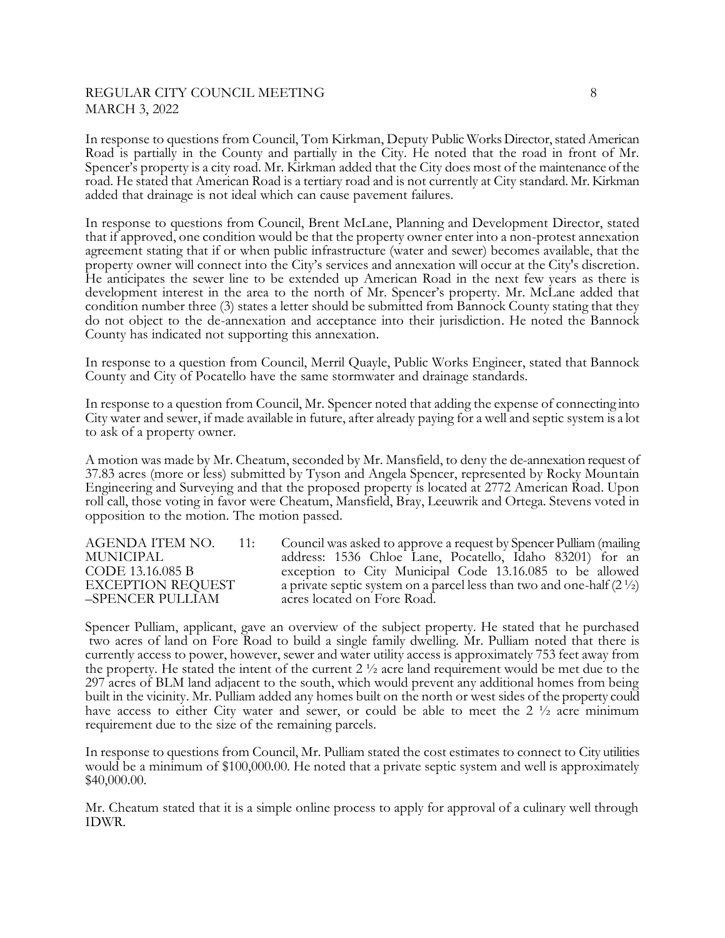## REGULAR CITY COUNCIL MEETING 8 MARCH 3, 2022

In response to questions from Council, Tom Kirkman, Deputy Public Works Director, stated American Road is partially in the County and partially in the City. He noted that the road in front of Mr. Spencer's property is a city road. Mr. Kirkman added that the City does most of the maintenance of the road. He stated that American Road is a tertiary road and is not currently at City standard. Mr. Kirkman added that drainage is not ideal which can cause pavement failures.

In response to questions from Council, Brent McLane, Planning and Development Director, stated that if approved, one condition would be that the property owner enter into a non-protest annexation agreement stating that if or when public infrastructure (water and sewer) becomes available, that the property owner will connect into the City's services and annexation will occur at the City's discretion. He anticipates the sewer line to be extended up American Road in the next few years as there is development interest in the area to the north of Mr. Spencer's property. Mr. McLane added that condition number three (3) states a letter should be submitted from Bannock County stating that they do not object to the de-annexation and acceptance into their jurisdiction. He noted the Bannock County has indicated not supporting this annexation.

In response to a question from Council, Merril Quayle, Public Works Engineer, stated that Bannock County and City of Pocatello have the same stormwater and drainage standards.

In response to a question from Council, Mr. Spencer noted that adding the expense of connecting into City water and sewer, if made available in future, after already paying for a well and septic system is a lot to ask of a property owner.

A motion was made by Mr. Cheatum, seconded by Mr. Mansfield, to deny the de-annexation request of 37.83 acres (more or less) submitted by Tyson and Angela Spencer, represented by Rocky Mountain Engineering and Surveying and that the proposed property is located at 2772 American Road. Upon roll call, those voting in favor were Cheatum, Mansfield, Bray, Leeuwrik and Ortega. Stevens voted in opposition to the motion. The motion passed.

AGENDA ITEM NO. 11: Council was asked to approve a request by Spencer Pulliam (mailing MUNICIPAL address: 1536 Chloe Lane, Pocatello, Idaho 83201) for an CODE 13.16.085 B exception to City Municipal Code 13.16.085 to be allowed EXCEPTION REQUEST a private septic system on a parcel less than two and one-half  $(2^{1/2})$ EXCEPTION REQUEST a private septic system on a parcel less than two and one-half  $(2 \frac{1}{2})$ <br>-SPENCER PULLIAM acres located on Fore Road. acres located on Fore Road.

Spencer Pulliam, applicant, gave an overview of the subject property. He stated that he purchased two acres of land on Fore Road to build a single family dwelling. Mr. Pulliam noted that there is currently access to power, however, sewer and water utility access is approximately 753 feet away from the property. He stated the intent of the current  $2\frac{1}{2}$  acre land requirement would be met due to the 297 acres of BLM land adjacent to the south, which would prevent any additional homes from being built in the vicinity. Mr. Pulliam added any homes built on the north or west sides of the property could have access to either City water and sewer, or could be able to meet the  $2\frac{1}{2}$  acre minimum requirement due to the size of the remaining parcels.

In response to questions from Council, Mr. Pulliam stated the cost estimates to connect to City utilities would be a minimum of \$100,000.00. He noted that a private septic system and well is approximately \$40,000.00.

Mr. Cheatum stated that it is a simple online process to apply for approval of a culinary well through IDWR.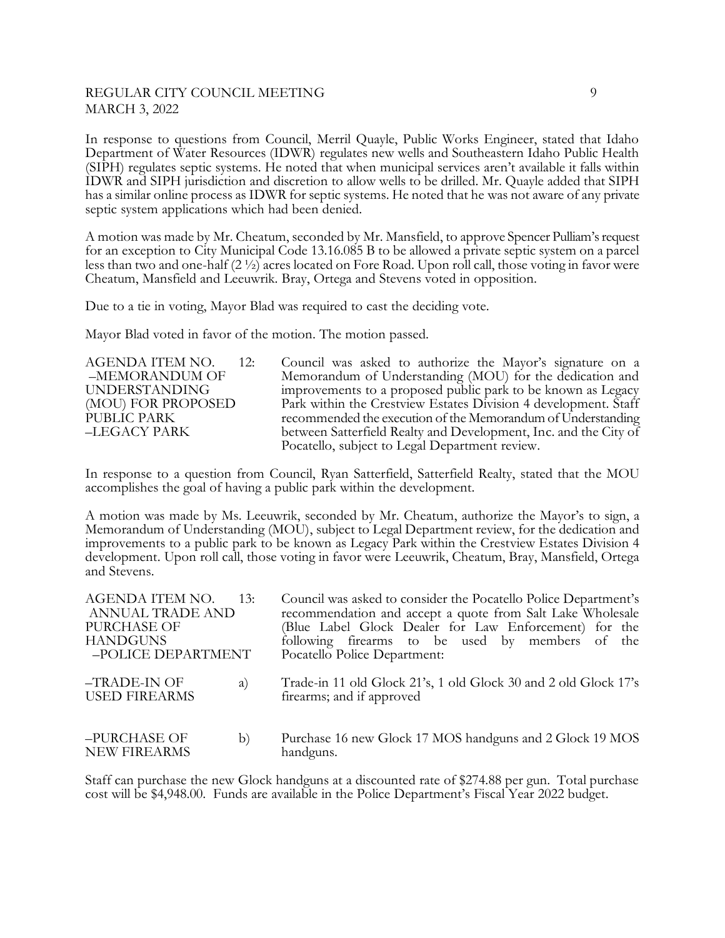# REGULAR CITY COUNCIL MEETING 9 MARCH 3, 2022

In response to questions from Council, Merril Quayle, Public Works Engineer, stated that Idaho Department of Water Resources (IDWR) regulates new wells and Southeastern Idaho Public Health (SIPH) regulates septic systems. He noted that when municipal services aren't available it falls within IDWR and SIPH jurisdiction and discretion to allow wells to be drilled. Mr. Quayle added that SIPH has a similar online process as IDWR for septic systems. He noted that he was not aware of any private septic system applications which had been denied.

A motion was made by Mr. Cheatum, seconded by Mr. Mansfield, to approve Spencer Pulliam's request for an exception to City Municipal Code 13.16.085 B to be allowed a private septic system on a parcel less than two and one-half (2 ½) acres located on Fore Road. Upon roll call, those voting in favor were Cheatum, Mansfield and Leeuwrik. Bray, Ortega and Stevens voted in opposition.

Due to a tie in voting, Mayor Blad was required to cast the deciding vote.

Mayor Blad voted in favor of the motion. The motion passed.

| AGENDA ITEM NO.      | 12: | Council was asked to authorize the Mayor's signature on a        |
|----------------------|-----|------------------------------------------------------------------|
| -MEMORANDUM OF       |     | Memorandum of Understanding (MOU) for the dedication and         |
| <b>UNDERSTANDING</b> |     | improvements to a proposed public park to be known as Legacy     |
| (MOU) FOR PROPOSED   |     | Park within the Crestview Estates Division 4 development. Staff  |
| PUBLIC PARK          |     | recommended the execution of the Memorandum of Understanding     |
| –LEGACY PARK         |     | between Satterfield Realty and Development, Inc. and the City of |
|                      |     | Pocatello, subject to Legal Department review.                   |

In response to a question from Council, Ryan Satterfield, Satterfield Realty, stated that the MOU accomplishes the goal of having a public park within the development.

A motion was made by Ms. Leeuwrik, seconded by Mr. Cheatum, authorize the Mayor's to sign, a Memorandum of Understanding (MOU), subject to Legal Department review, for the dedication and improvements to a public park to be known as Legacy Park within the Crestview Estates Division 4 development. Upon roll call, those voting in favor were Leeuwrik, Cheatum, Bray, Mansfield, Ortega and Stevens.

| AGENDA ITEM NO.<br>ANNUAL TRADE AND<br>PURCHASE OF<br><b>HANDGUNS</b><br>-POLICE DEPARTMENT | 13: | Council was asked to consider the Pocatello Police Department's<br>recommendation and accept a quote from Salt Lake Wholesale<br>(Blue Label Glock Dealer for Law Enforcement) for the<br>following firearms to be used by members of the<br>Pocatello Police Department: |
|---------------------------------------------------------------------------------------------|-----|---------------------------------------------------------------------------------------------------------------------------------------------------------------------------------------------------------------------------------------------------------------------------|
| -TRADE-IN OF<br><b>USED FIREARMS</b>                                                        | a)  | Trade-in 11 old Glock 21's, 1 old Glock 30 and 2 old Glock 17's<br>firearms; and if approved                                                                                                                                                                              |
| -PURCHASE OF<br><b>NEW FIREARMS</b>                                                         | b)  | Purchase 16 new Glock 17 MOS handguns and 2 Glock 19 MOS<br>handguns.                                                                                                                                                                                                     |

Staff can purchase the new Glock handguns at a discounted rate of \$274.88 per gun. Total purchase cost will be \$4,948.00. Funds are available in the Police Department's Fiscal Year 2022 budget.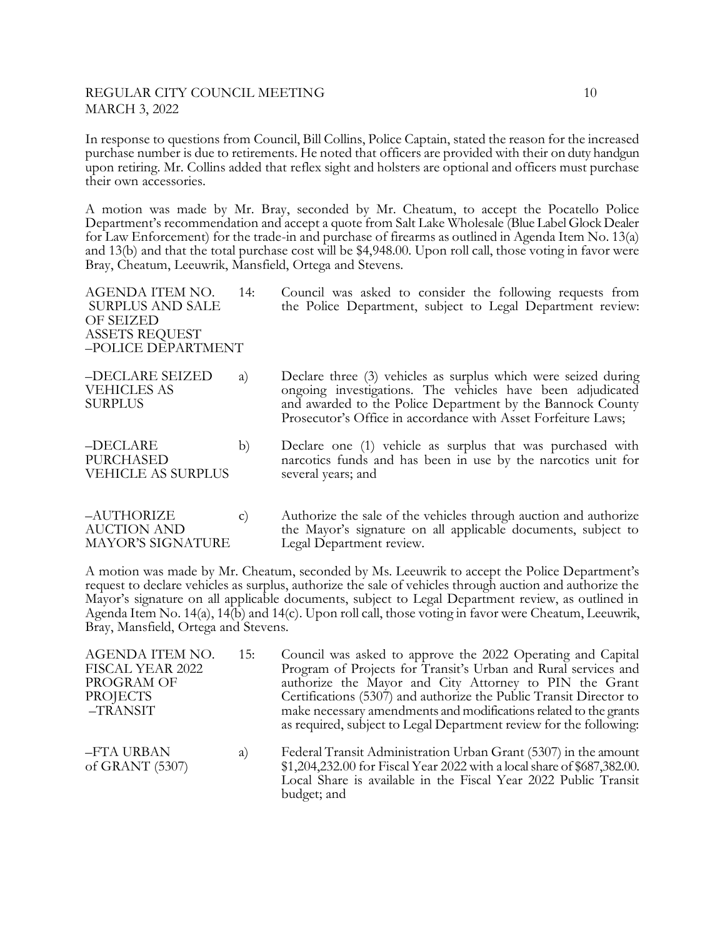## REGULAR CITY COUNCIL MEETING 10 MARCH 3, 2022

In response to questions from Council, Bill Collins, Police Captain, stated the reason for the increased purchase number is due to retirements. He noted that officers are provided with their on duty handgun upon retiring. Mr. Collins added that reflex sight and holsters are optional and officers must purchase their own accessories.

A motion was made by Mr. Bray, seconded by Mr. Cheatum, to accept the Pocatello Police Department's recommendation and accept a quote from Salt Lake Wholesale (Blue Label Glock Dealer for Law Enforcement) for the trade-in and purchase of firearms as outlined in Agenda Item No. 13(a) and 13(b) and that the total purchase cost will be \$4,948.00. Upon roll call, those voting in favor were Bray, Cheatum, Leeuwrik, Mansfield, Ortega and Stevens.

| AGENDA ITEM NO.<br><b>SURPLUS AND SALE</b><br>OF SEIZED<br><b>ASSETS REQUEST</b><br>-POLICE DEPARTMENT | 14:    | Council was asked to consider the following requests from<br>the Police Department, subject to Legal Department review:                                                                                                                                     |
|--------------------------------------------------------------------------------------------------------|--------|-------------------------------------------------------------------------------------------------------------------------------------------------------------------------------------------------------------------------------------------------------------|
| -DECLARE SEIZED<br><b>VEHICLES AS</b><br><b>SURPLUS</b>                                                | a)     | Declare three (3) vehicles as surplus which were seized during<br>ongoing investigations. The vehicles have been adjudicated<br>and awarded to the Police Department by the Bannock County<br>Prosecutor's Office in accordance with Asset Forfeiture Laws; |
| -DECLARE<br><b>PURCHASED</b><br><b>VEHICLE AS SURPLUS</b>                                              | b)     | Declare one (1) vehicle as surplus that was purchased with<br>narcotics funds and has been in use by the narcotics unit for<br>several years; and                                                                                                           |
| AUTHORIZE                                                                                              | $\sim$ | Authorize the sale of the vehicles through quotion and authorize                                                                                                                                                                                            |

–AUTHORIZE c) Authorize the sale of the vehicles through auction and authorize AUCTION AND the Mayor's signature on all applicable documents, subject to MAYOR'S SIGNATURE Legal Department review.

A motion was made by Mr. Cheatum, seconded by Ms. Leeuwrik to accept the Police Department's request to declare vehicles as surplus, authorize the sale of vehicles through auction and authorize the Mayor's signature on all applicable documents, subject to Legal Department review, as outlined in Agenda Item No. 14(a), 14(b) and 14(c). Upon roll call, those voting in favor were Cheatum, Leeuwrik, Bray, Mansfield, Ortega and Stevens.

| AGENDA ITEM NO.<br>FISCAL YEAR 2022<br>PROGRAM OF<br><b>PROJECTS</b><br>-TRANSIT | 15: | Council was asked to approve the 2022 Operating and Capital<br>Program of Projects for Transit's Urban and Rural services and<br>authorize the Mayor and City Attorney to PIN the Grant<br>Certifications (5307) and authorize the Public Transit Director to<br>make necessary amendments and modifications related to the grants<br>as required, subject to Legal Department review for the following: |
|----------------------------------------------------------------------------------|-----|----------------------------------------------------------------------------------------------------------------------------------------------------------------------------------------------------------------------------------------------------------------------------------------------------------------------------------------------------------------------------------------------------------|
| -FTA URBAN<br>of GRANT (5307)                                                    | a)  | Federal Transit Administration Urban Grant (5307) in the amount<br>\$1,204,232.00 for Fiscal Year 2022 with a local share of \$687,382.00.<br>Local Share is available in the Fiscal Year 2022 Public Transit<br>budget; and                                                                                                                                                                             |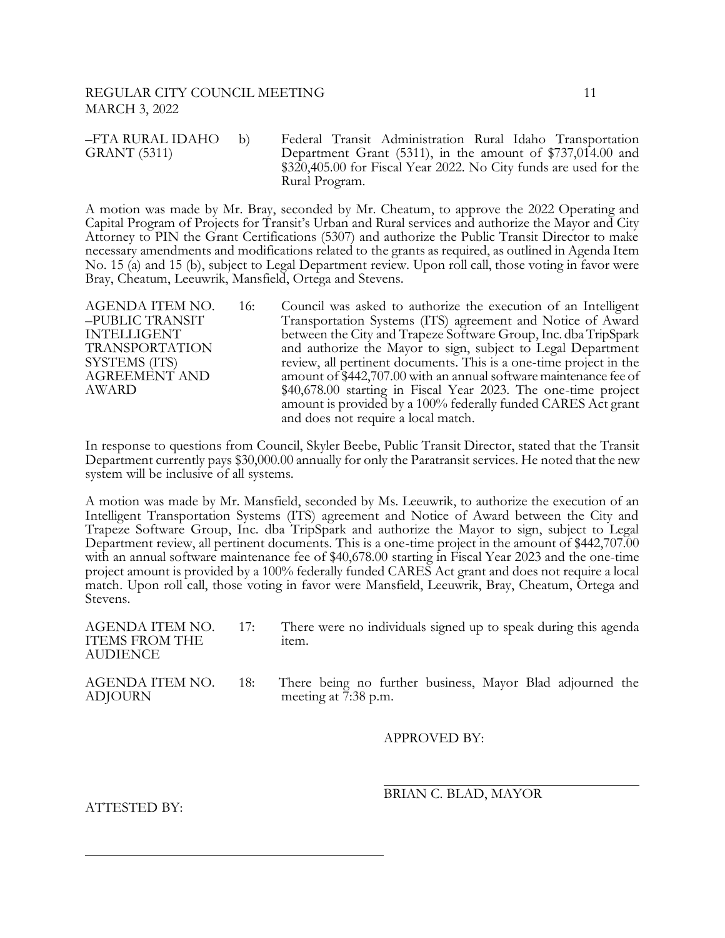#### REGULAR CITY COUNCIL MEETING 11 MARCH 3, 2022

–FTA RURAL IDAHO b) Federal Transit Administration Rural Idaho Transportation GRANT (5311) Department Grant (5311), in the amount of \$737,014.00 and \$320,405.00 for Fiscal Year 2022. No City funds are used for the Rural Program.

A motion was made by Mr. Bray, seconded by Mr. Cheatum, to approve the 2022 Operating and Capital Program of Projects for Transit's Urban and Rural services and authorize the Mayor and City Attorney to PIN the Grant Certifications (5307) and authorize the Public Transit Director to make necessary amendments and modifications related to the grants as required, as outlined in Agenda Item No. 15 (a) and 15 (b), subject to Legal Department review. Upon roll call, those voting in favor were Bray, Cheatum, Leeuwrik, Mansfield, Ortega and Stevens.

AGENDA ITEM NO. 16: Council was asked to authorize the execution of an Intelligent –PUBLIC TRANSIT Transportation Systems (ITS) agreement and Notice of Award INTELLIGENT between the City and Trapeze Software Group, Inc. dba TripSpark TRANSPORTATION and authorize the Mayor to sign, subject to Legal Department SYSTEMS (ITS) review, all pertinent documents. This is a one-time project in the AGREEMENT AND amount of \$442,707.00 with an annual software maintenance fee of AGREEMENT AND amount of \$442,707.00 with an annual software maintenance fee of AWARD  $$40.678.00$  starting in Fiscal Year 2023. The one-time project  $$40,678.00$  starting in Fiscal Year 2023. The one-time project amount is provided by a 100% federally funded CARES Act grant and does not require a local match.

In response to questions from Council, Skyler Beebe, Public Transit Director, stated that the Transit Department currently pays \$30,000.00 annually for only the Paratransit services. He noted that the new system will be inclusive of all systems.

A motion was made by Mr. Mansfield, seconded by Ms. Leeuwrik, to authorize the execution of an Intelligent Transportation Systems (ITS) agreement and Notice of Award between the City and Trapeze Software Group, Inc. dba TripSpark and authorize the Mayor to sign, subject to Legal Department review, all pertinent documents. This is a one-time project in the amount of \$442,707.00 with an annual software maintenance fee of \$40,678.00 starting in Fiscal Year 2023 and the one-time project amount is provided by a 100% federally funded CARES Act grant and does not require a local match. Upon roll call, those voting in favor were Mansfield, Leeuwrik, Bray, Cheatum, Ortega and Stevens.

| AGENDA ITEM NO.<br><b>ITEMS FROM THE</b><br>AUDIENCE | 17: | There were no individuals signed up to speak during this agenda<br>item.          |
|------------------------------------------------------|-----|-----------------------------------------------------------------------------------|
| AGENDA ITEM NO.<br>ADJOURN                           | 18: | There being no further business, Mayor Blad adjourned the<br>meeting at 7:38 p.m. |

l

APPROVED BY:

ATTESTED BY:

l BRIAN C. BLAD, MAYOR